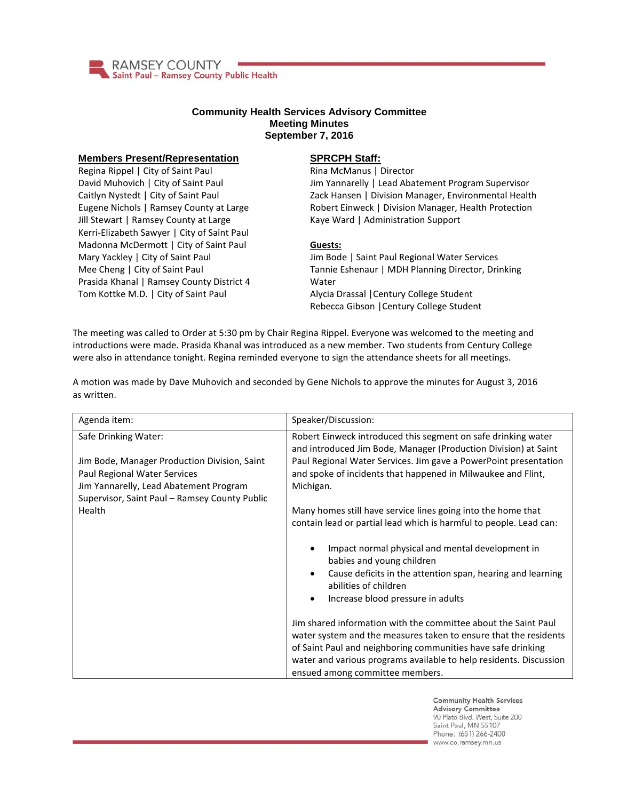

## **Community Health Services Advisory Committee Meeting Minutes September 7, 2016**

## **Members Present/Representation**

Regina Rippel | City of Saint Paul David Muhovich | City of Saint Paul Caitlyn Nystedt | City of Saint Paul Eugene Nichols | Ramsey County at Large Jill Stewart | Ramsey County at Large Kerri-Elizabeth Sawyer | City of Saint Paul Madonna McDermott | City of Saint Paul Mary Yackley | City of Saint Paul Mee Cheng | City of Saint Paul Prasida Khanal | Ramsey County District 4 Tom Kottke M.D. | City of Saint Paul

## **SPRCPH Staff:**

Rina McManus | Director Jim Yannarelly | Lead Abatement Program Supervisor Zack Hansen | Division Manager, Environmental Health Robert Einweck | Division Manager, Health Protection Kaye Ward | Administration Support

## **Guests:**

Jim Bode | Saint Paul Regional Water Services Tannie Eshenaur | MDH Planning Director, Drinking Water Alycia Drassal |Century College Student Rebecca Gibson |Century College Student

The meeting was called to Order at 5:30 pm by Chair Regina Rippel. Everyone was welcomed to the meeting and introductions were made. Prasida Khanal was introduced as a new member. Two students from Century College were also in attendance tonight. Regina reminded everyone to sign the attendance sheets for all meetings.

A motion was made by Dave Muhovich and seconded by Gene Nichols to approve the minutes for August 3, 2016 as written.

| Agenda item:                                                                                                                                                                                    | Speaker/Discussion:                                                                                                                                                                                                                                                                                                                                                            |
|-------------------------------------------------------------------------------------------------------------------------------------------------------------------------------------------------|--------------------------------------------------------------------------------------------------------------------------------------------------------------------------------------------------------------------------------------------------------------------------------------------------------------------------------------------------------------------------------|
| Safe Drinking Water:<br>Jim Bode, Manager Production Division, Saint<br>Paul Regional Water Services<br>Jim Yannarelly, Lead Abatement Program<br>Supervisor, Saint Paul - Ramsey County Public | Robert Einweck introduced this segment on safe drinking water<br>and introduced Jim Bode, Manager (Production Division) at Saint<br>Paul Regional Water Services. Jim gave a PowerPoint presentation<br>and spoke of incidents that happened in Milwaukee and Flint,<br>Michigan.                                                                                              |
| Health                                                                                                                                                                                          | Many homes still have service lines going into the home that<br>contain lead or partial lead which is harmful to people. Lead can:<br>Impact normal physical and mental development in<br>٠<br>babies and young children<br>Cause deficits in the attention span, hearing and learning<br>$\bullet$<br>abilities of children<br>Increase blood pressure in adults<br>$\bullet$ |
|                                                                                                                                                                                                 | Jim shared information with the committee about the Saint Paul<br>water system and the measures taken to ensure that the residents<br>of Saint Paul and neighboring communities have safe drinking<br>water and various programs available to help residents. Discussion<br>ensued among committee members.                                                                    |

**Community Health Services Advisory Committee** 90 Plato Blvd. West, Suite 200 Saint Paul, MN 55107 Phone: (651) 266-2400 www.co.ramsey.mn.us